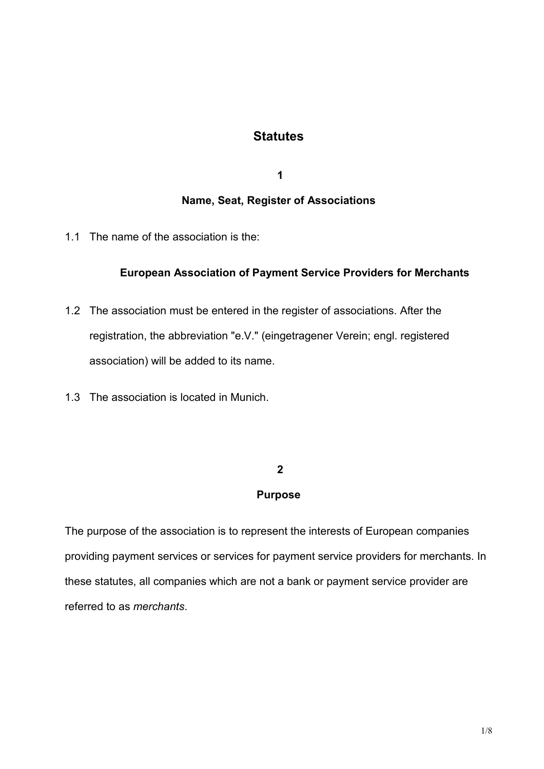# **Statutes**

 **1** 

# **Name, Seat, Register of Associations**

1.1 The name of the association is the:

### **European Association of Payment Service Providers for Merchants**

- 1.2 The association must be entered in the register of associations. After the registration, the abbreviation "e.V." (eingetragener Verein; engl. registered association) will be added to its name.
- 1.3 The association is located in Munich.

### **2**

### **Purpose**

The purpose of the association is to represent the interests of European companies providing payment services or services for payment service providers for merchants. In these statutes, all companies which are not a bank or payment service provider are referred to as *merchants*.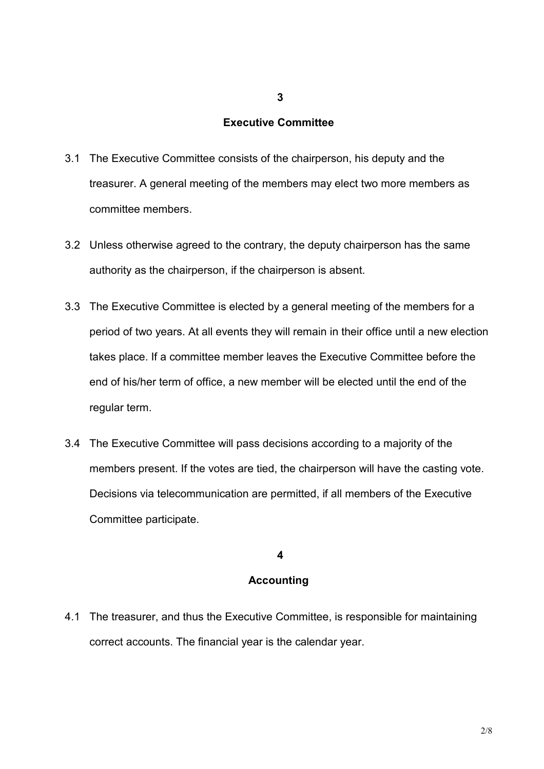# **Executive Committee**

**3**

- 3.1 The Executive Committee consists of the chairperson, his deputy and the treasurer. A general meeting of the members may elect two more members as committee members.
- 3.2 Unless otherwise agreed to the contrary, the deputy chairperson has the same authority as the chairperson, if the chairperson is absent.
- 3.3 The Executive Committee is elected by a general meeting of the members for a period of two years. At all events they will remain in their office until a new election takes place. If a committee member leaves the Executive Committee before the end of his/her term of office, a new member will be elected until the end of the regular term.
- 3.4 The Executive Committee will pass decisions according to a majority of the members present. If the votes are tied, the chairperson will have the casting vote. Decisions via telecommunication are permitted, if all members of the Executive Committee participate.

### **4**

### **Accounting**

4.1 The treasurer, and thus the Executive Committee, is responsible for maintaining correct accounts. The financial year is the calendar year.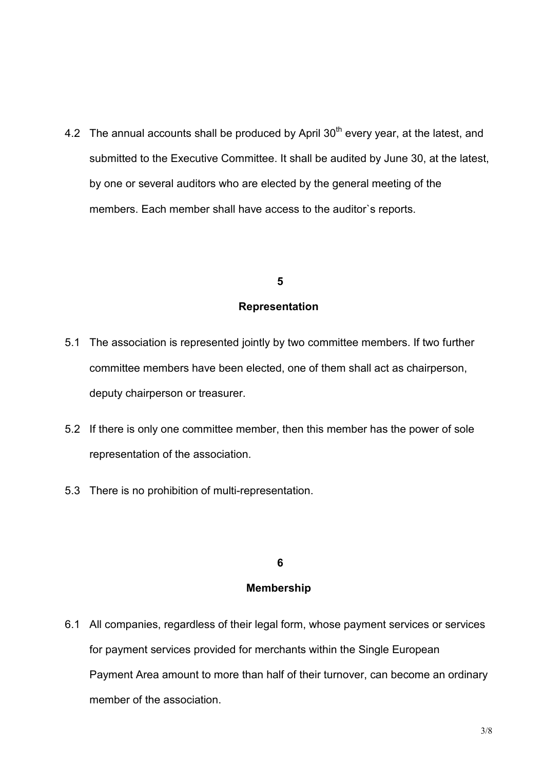4.2 The annual accounts shall be produced by April  $30<sup>th</sup>$  every year, at the latest, and submitted to the Executive Committee. It shall be audited by June 30, at the latest, by one or several auditors who are elected by the general meeting of the members. Each member shall have access to the auditor`s reports.

#### **5**

#### **Representation**

- 5.1 The association is represented jointly by two committee members. If two further committee members have been elected, one of them shall act as chairperson, deputy chairperson or treasurer.
- 5.2 If there is only one committee member, then this member has the power of sole representation of the association.
- 5.3 There is no prohibition of multi-representation.

### **6**

### **Membership**

6.1 All companies, regardless of their legal form, whose payment services or services for payment services provided for merchants within the Single European Payment Area amount to more than half of their turnover, can become an ordinary member of the association.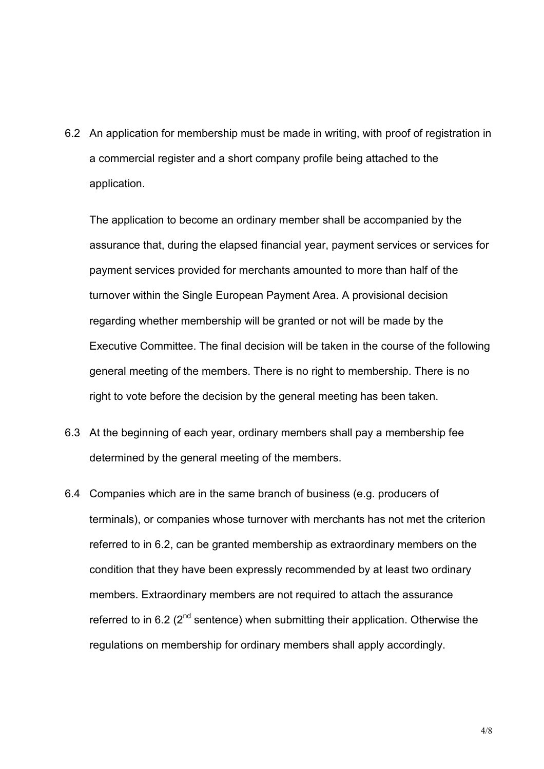6.2 An application for membership must be made in writing, with proof of registration in a commercial register and a short company profile being attached to the application.

 The application to become an ordinary member shall be accompanied by the assurance that, during the elapsed financial year, payment services or services for payment services provided for merchants amounted to more than half of the turnover within the Single European Payment Area. A provisional decision regarding whether membership will be granted or not will be made by the Executive Committee. The final decision will be taken in the course of the following general meeting of the members. There is no right to membership. There is no right to vote before the decision by the general meeting has been taken.

- 6.3 At the beginning of each year, ordinary members shall pay a membership fee determined by the general meeting of the members.
- 6.4 Companies which are in the same branch of business (e.g. producers of terminals), or companies whose turnover with merchants has not met the criterion referred to in 6.2, can be granted membership as extraordinary members on the condition that they have been expressly recommended by at least two ordinary members. Extraordinary members are not required to attach the assurance referred to in 6.2  $(2^{nd}$  sentence) when submitting their application. Otherwise the regulations on membership for ordinary members shall apply accordingly.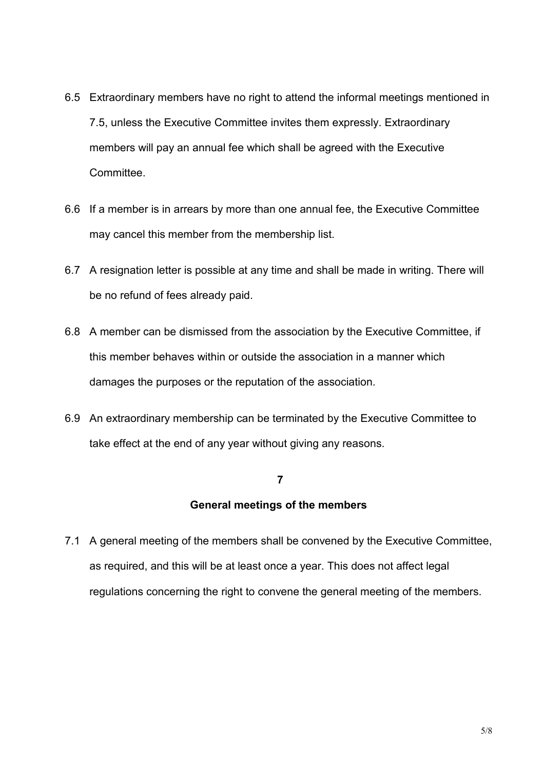- 6.5 Extraordinary members have no right to attend the informal meetings mentioned in 7.5, unless the Executive Committee invites them expressly. Extraordinary members will pay an annual fee which shall be agreed with the Executive **Committee.**
- 6.6 If a member is in arrears by more than one annual fee, the Executive Committee may cancel this member from the membership list.
- 6.7 A resignation letter is possible at any time and shall be made in writing. There will be no refund of fees already paid.
- 6.8 A member can be dismissed from the association by the Executive Committee, if this member behaves within or outside the association in a manner which damages the purposes or the reputation of the association.
- 6.9 An extraordinary membership can be terminated by the Executive Committee to take effect at the end of any year without giving any reasons.

#### **7**

# **General meetings of the members**

7.1 A general meeting of the members shall be convened by the Executive Committee, as required, and this will be at least once a year. This does not affect legal regulations concerning the right to convene the general meeting of the members.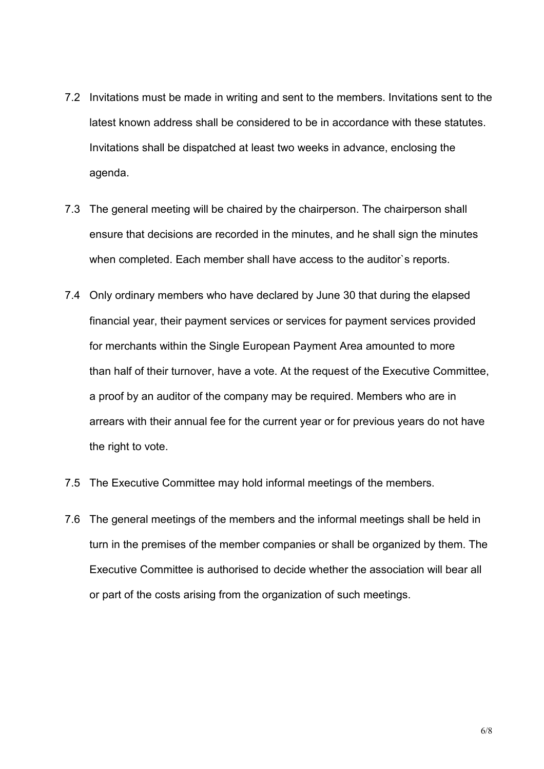- 7.2 Invitations must be made in writing and sent to the members. Invitations sent to the latest known address shall be considered to be in accordance with these statutes. Invitations shall be dispatched at least two weeks in advance, enclosing the agenda.
- 7.3 The general meeting will be chaired by the chairperson. The chairperson shall ensure that decisions are recorded in the minutes, and he shall sign the minutes when completed. Each member shall have access to the auditor's reports.
- 7.4 Only ordinary members who have declared by June 30 that during the elapsed financial year, their payment services or services for payment services provided for merchants within the Single European Payment Area amounted to more than half of their turnover, have a vote. At the request of the Executive Committee, a proof by an auditor of the company may be required. Members who are in arrears with their annual fee for the current year or for previous years do not have the right to vote.
- 7.5 The Executive Committee may hold informal meetings of the members.
- 7.6 The general meetings of the members and the informal meetings shall be held in turn in the premises of the member companies or shall be organized by them. The Executive Committee is authorised to decide whether the association will bear all or part of the costs arising from the organization of such meetings.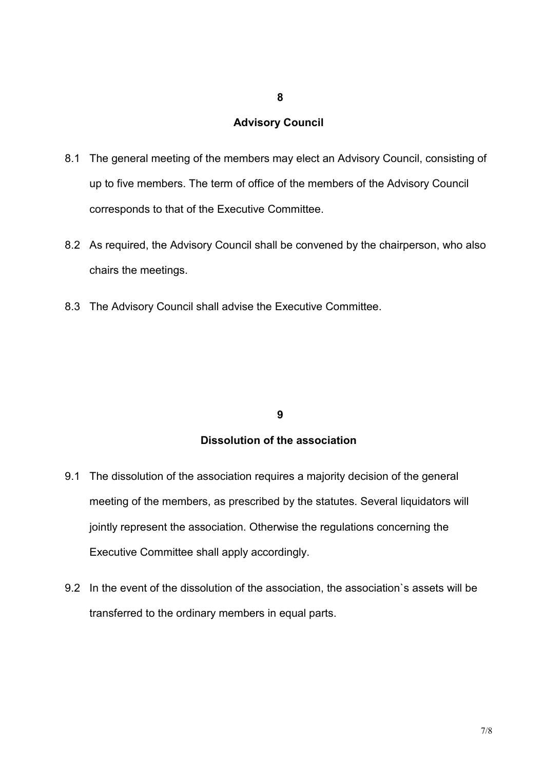#### **8**

# **Advisory Council**

- 8.1 The general meeting of the members may elect an Advisory Council, consisting of up to five members. The term of office of the members of the Advisory Council corresponds to that of the Executive Committee.
- 8.2 As required, the Advisory Council shall be convened by the chairperson, who also chairs the meetings.
- 8.3 The Advisory Council shall advise the Executive Committee.

### **9**

### **Dissolution of the association**

- 9.1 The dissolution of the association requires a majority decision of the general meeting of the members, as prescribed by the statutes. Several liquidators will jointly represent the association. Otherwise the regulations concerning the Executive Committee shall apply accordingly.
- 9.2 In the event of the dissolution of the association, the association`s assets will be transferred to the ordinary members in equal parts.